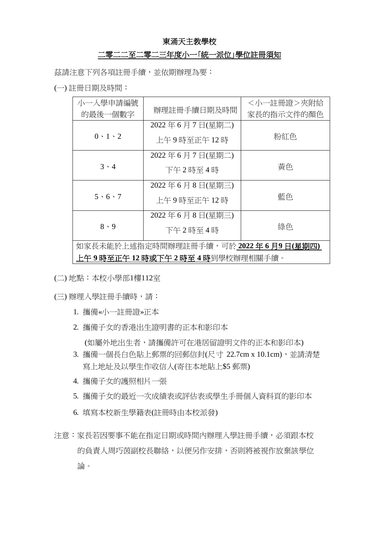## 東涌天主教學校

## 二零二二至二零二三年度小一「統一派位」學位註冊須知

茲請注意下列各項註冊手續,並依期辦理為要:

(一) 註冊日期及時間︰

| 小一入學申請編號                                 | 辦理註冊手續日期及時間    | <小一註冊證>夾附給 |  |
|------------------------------------------|----------------|------------|--|
| 的最後一個數字                                  |                | 家長的指示文件的顏色 |  |
| $0 \cdot 1 \cdot 2$                      | 2022年6月7日(星期二) |            |  |
|                                          | 上午9時至正午12時     | 粉紅色        |  |
| $3 \cdot 4$                              | 2022年6月7日(星期二) |            |  |
|                                          |                | 黃色         |  |
|                                          | 下午2時至4時        |            |  |
| $5 \cdot 6 \cdot 7$                      | 2022年6月8日(星期三) |            |  |
|                                          | 上午9時至正午12時     | 藍色         |  |
| $8 \cdot 9$                              | 2022年6月8日(星期三) |            |  |
|                                          | 下午2時至4時        | 綠色         |  |
| 如家長未能於上述指定時間辦理註冊手續,可於 2022 年 6 月9 日(星期四) |                |            |  |
| 上午9時至正午 12 時或下午2時至4時到學校辦理相關手續。           |                |            |  |

(二) 地點︰本校小學部1樓112室

(三) 辦理入學註冊手續時,請︰

- 1. 攜備«小一註冊證»正本
- 2. 攜備子女的香港出生證明書的正本和影印本 (如屬外地出生者,請攜備許可在港居留證明文件的正本和影印本)
- 3. 攜備一個長白色貼上郵票的回郵信封(尺寸 22.7cm x 10.1cm),並請清楚 寫上地址及以學生作收信人(寄往本地貼上\$5 郵票)
- 4. 攜備子女的護照相片一張
- 5. 攜備子女的最近一次成績表或評估表或學生手冊個人資料頁的影印本
- 6. 填寫本校新生學籍表(註冊時由本校派發)
- 注意:家長若因要事不能在指定日期或時間內辦理入學註冊手續,必須跟本校 的負責人周巧茵副校長聯絡,以便另作安排,否則將被視作放棄該學位 論。